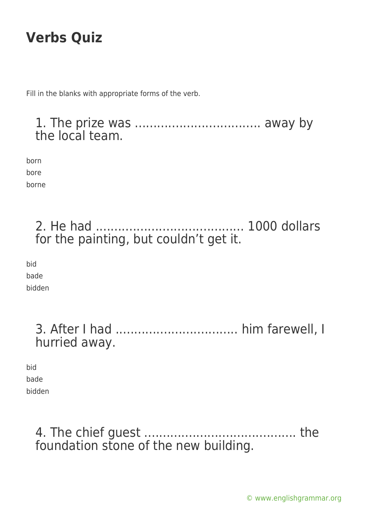Fill in the blanks with appropriate forms of the verb.

#### 1. The prize was .................................. away by the local team.

born bore borne

## 2. He had ........................................ 1000 dollars for the painting, but couldn't get it.

bid bade bidden

> 3. After I had ................................. him farewell, I hurried away.

bid bade bidden

## 4. The chief guest ......................................... the foundation stone of the new building.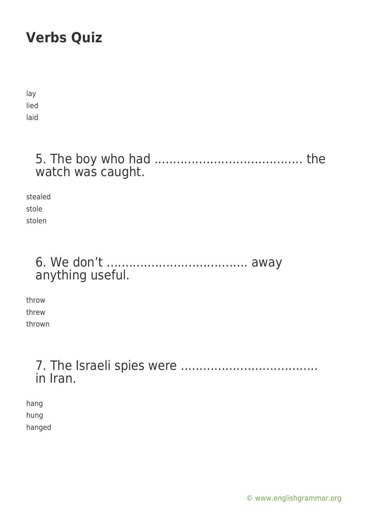lay lied laid

### 5. The boy who had ........................................ the watch was caught.

stealed stole stolen

#### 6. We don't ...................................... away anything useful.

throw threw thrown

### 7. The Israeli spies were ..................................... in Iran.

hang hung hanged

[© www.englishgrammar.org](https://www.englishgrammar.org/)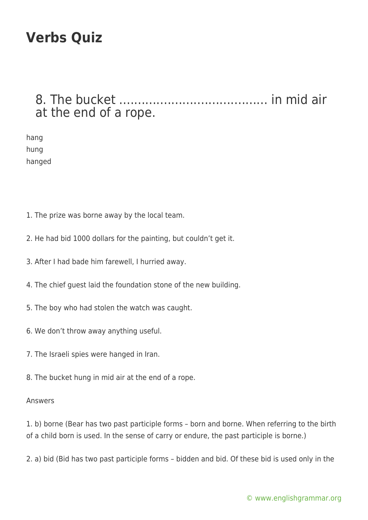#### 8. The bucket ........................................ in mid air at the end of a rope.

hang hung hanged

- 1. The prize was borne away by the local team.
- 2. He had bid 1000 dollars for the painting, but couldn't get it.
- 3. After I had bade him farewell, I hurried away.
- 4. The chief guest laid the foundation stone of the new building.
- 5. The boy who had stolen the watch was caught.
- 6. We don't throw away anything useful.
- 7. The Israeli spies were hanged in Iran.
- 8. The bucket hung in mid air at the end of a rope.

#### Answers

1. b) borne (Bear has two past participle forms – born and borne. When referring to the birth of a child born is used. In the sense of carry or endure, the past participle is borne.)

2. a) bid (Bid has two past participle forms – bidden and bid. Of these bid is used only in the